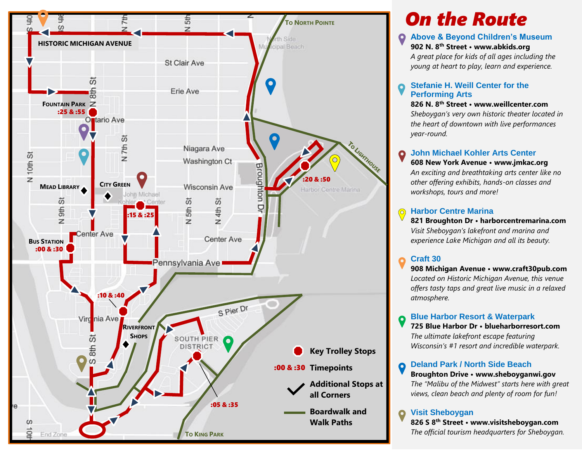

# *On the Route*

#### **Above & Beyond Children's Museum**

**902 N. 8th Street • www.abkids.org**

*A great place for kids of all ages including the young at heart to play, learn and experience.*

#### **Stefanie H. Weill Center for the Performing Arts**

**826 N. 8th Street • www.weillcenter.com**

*Sheboygan's very own historic theater located in the heart of downtown with live performances year-round.*

#### **John Michael Kohler Arts Center**  $\bullet$

**608 New York Avenue • www.jmkac.org** *An exciting and breathtaking arts center like no other offering exhibits, hands-on classes and workshops, tours and more!*

#### **Harbor Centre Marina**

**821 Broughton Dr • harborcentremarina.com** *Visit Sheboygan's lakefront and marina and experience Lake Michigan and all its beauty.*

### **Craft 30**

**908 Michigan Avenue • www.craft30pub.com** *Located on Historic Michigan Avenue, this venue offers tasty taps and great live music in a relaxed atmosphere.* 

#### **Blue Harbor Resort & Waterpark**

**725 Blue Harbor Dr • blueharborresort.com** *The ultimate lakefront escape featuring Wisconsin's #1 resort and incredible waterpark.*

**Deland Park / North Side Beach**  $\boldsymbol{Q}$ 

**Broughton Drive • www.sheboyganwi.gov** *The "Malibu of the Midwest" starts here with great views, clean beach and plenty of room for fun!*

**Visit Sheboygan**

**826 S 8th Street • www.visitsheboygan.com** *The official tourism headquarters for Sheboygan.*